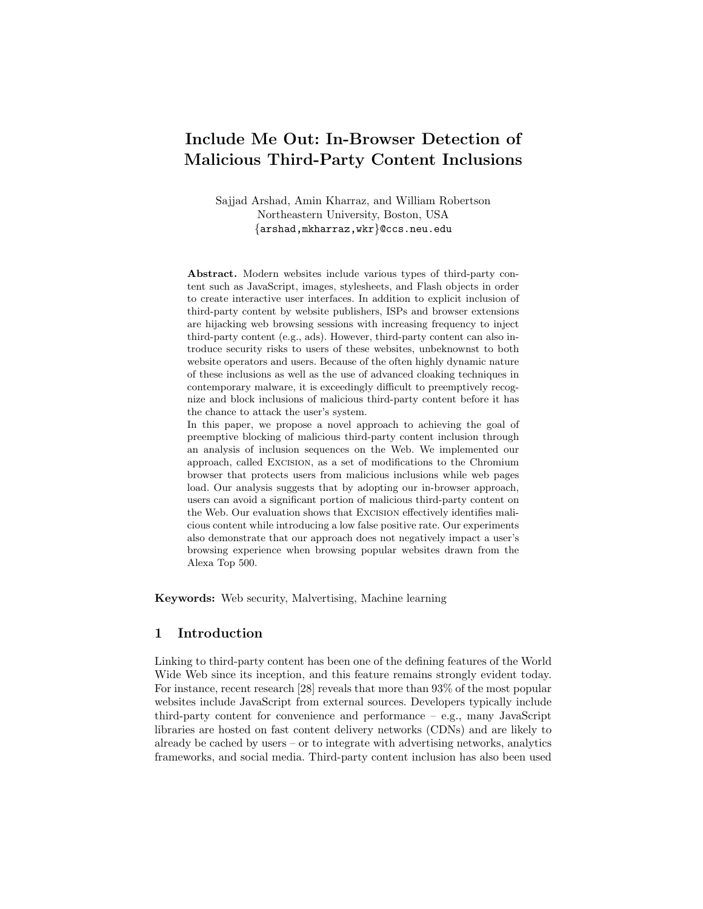# **Include Me Out: In-Browser Detection of Malicious Third-Party Content Inclusions**

Sajjad Arshad, Amin Kharraz, and William Robertson Northeastern University, Boston, USA *{*arshad,mkharraz,wkr*}*@ccs.neu.edu

**Abstract.** Modern websites include various types of third-party content such as JavaScript, images, stylesheets, and Flash objects in order to create interactive user interfaces. In addition to explicit inclusion of third-party content by website publishers, ISPs and browser extensions are hijacking web browsing sessions with increasing frequency to inject third-party content (e.g., ads). However, third-party content can also introduce security risks to users of these websites, unbeknownst to both website operators and users. Because of the often highly dynamic nature of these inclusions as well as the use of advanced cloaking techniques in contemporary malware, it is exceedingly difficult to preemptively recognize and block inclusions of malicious third-party content before it has the chance to attack the user's system.

In this paper, we propose a novel approach to achieving the goal of preemptive blocking of malicious third-party content inclusion through an analysis of inclusion sequences on the Web. We implemented our approach, called Excision, as a set of modifications to the Chromium browser that protects users from malicious inclusions while web pages load. Our analysis suggests that by adopting our in-browser approach, users can avoid a significant portion of malicious third-party content on the Web. Our evaluation shows that Excision effectively identifies malicious content while introducing a low false positive rate. Our experiments also demonstrate that our approach does not negatively impact a user's browsing experience when browsing popular websites drawn from the Alexa Top 500.

**Keywords:** Web security, Malvertising, Machine learning

# **1 Introduction**

Linking to third-party content has been one of the defining features of the World Wide Web since its inception, and this feature remains strongly evident today. For instance, recent research [28] reveals that more than 93% of the most popular websites include JavaScript from external sources. Developers typically include third-party content for convenience and performance – e.g., many JavaScript libraries are hosted on fast content delivery networks (CDNs) and are likely to already be cached by users – or to integrate with advertising networks, analytics frameworks, and social media. Third-party content inclusion has also been used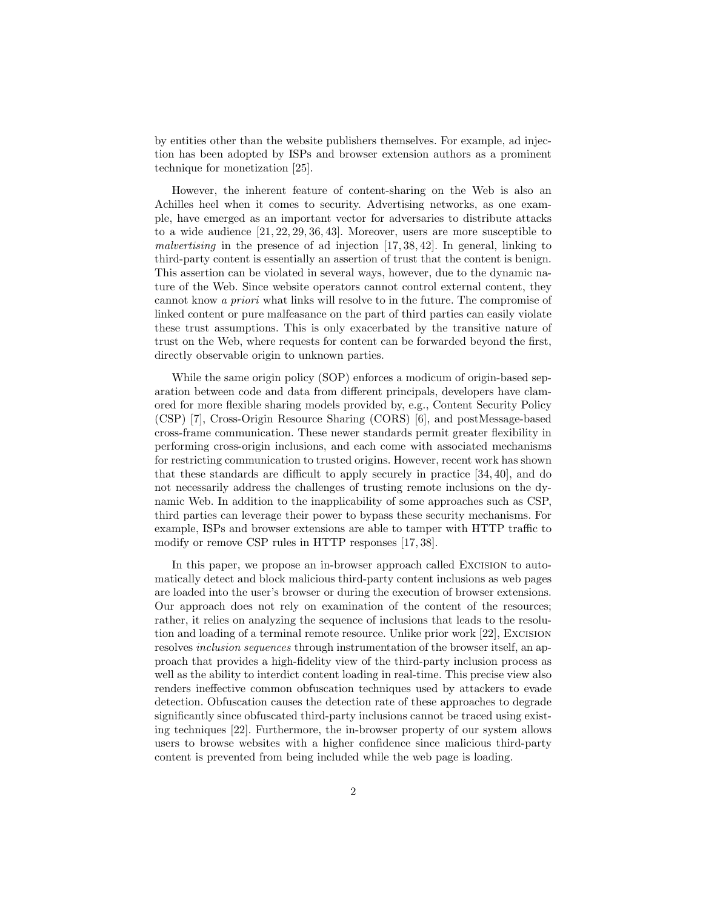by entities other than the website publishers themselves. For example, ad injection has been adopted by ISPs and browser extension authors as a prominent technique for monetization [25].

However, the inherent feature of content-sharing on the Web is also an Achilles heel when it comes to security. Advertising networks, as one example, have emerged as an important vector for adversaries to distribute attacks to a wide audience [21, 22, 29, 36, 43]. Moreover, users are more susceptible to *malvertising* in the presence of ad injection [17, 38, 42]. In general, linking to third-party content is essentially an assertion of trust that the content is benign. This assertion can be violated in several ways, however, due to the dynamic nature of the Web. Since website operators cannot control external content, they cannot know *a priori* what links will resolve to in the future. The compromise of linked content or pure malfeasance on the part of third parties can easily violate these trust assumptions. This is only exacerbated by the transitive nature of trust on the Web, where requests for content can be forwarded beyond the first, directly observable origin to unknown parties.

While the same origin policy (SOP) enforces a modicum of origin-based separation between code and data from different principals, developers have clamored for more flexible sharing models provided by, e.g., Content Security Policy (CSP) [7], Cross-Origin Resource Sharing (CORS) [6], and postMessage-based cross-frame communication. These newer standards permit greater flexibility in performing cross-origin inclusions, and each come with associated mechanisms for restricting communication to trusted origins. However, recent work has shown that these standards are difficult to apply securely in practice [34, 40], and do not necessarily address the challenges of trusting remote inclusions on the dynamic Web. In addition to the inapplicability of some approaches such as CSP, third parties can leverage their power to bypass these security mechanisms. For example, ISPs and browser extensions are able to tamper with HTTP traffic to modify or remove CSP rules in HTTP responses [17, 38].

In this paper, we propose an in-browser approach called Excision to automatically detect and block malicious third-party content inclusions as web pages are loaded into the user's browser or during the execution of browser extensions. Our approach does not rely on examination of the content of the resources; rather, it relies on analyzing the sequence of inclusions that leads to the resolution and loading of a terminal remote resource. Unlike prior work [22], Excision resolves *inclusion sequences* through instrumentation of the browser itself, an approach that provides a high-fidelity view of the third-party inclusion process as well as the ability to interdict content loading in real-time. This precise view also renders ineffective common obfuscation techniques used by attackers to evade detection. Obfuscation causes the detection rate of these approaches to degrade significantly since obfuscated third-party inclusions cannot be traced using existing techniques [22]. Furthermore, the in-browser property of our system allows users to browse websites with a higher confidence since malicious third-party content is prevented from being included while the web page is loading.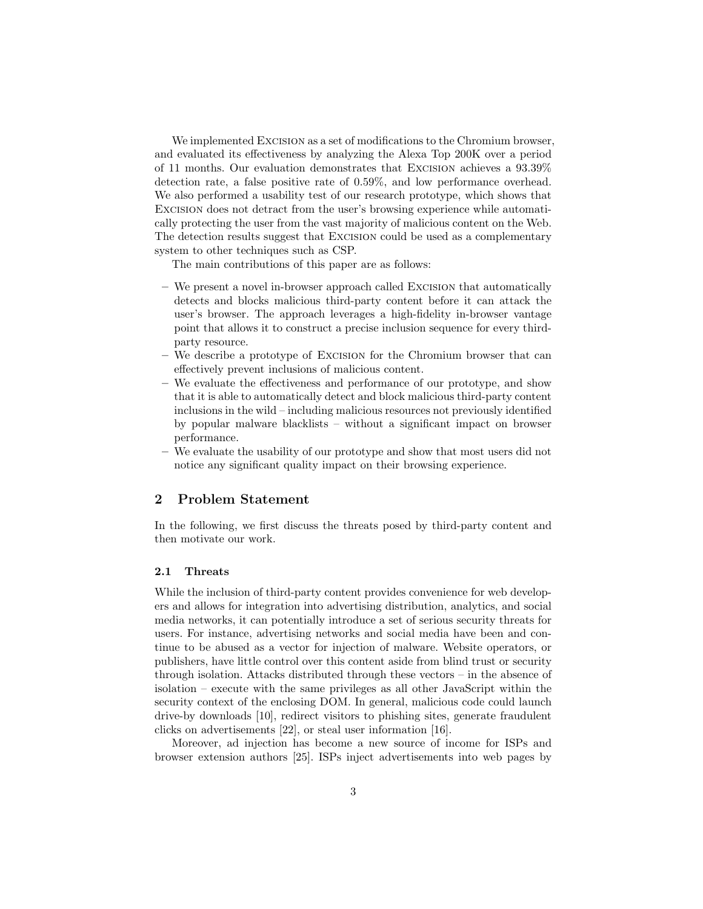We implemented Excision as a set of modifications to the Chromium browser, and evaluated its effectiveness by analyzing the Alexa Top 200K over a period of 11 months. Our evaluation demonstrates that Excision achieves a 93.39% detection rate, a false positive rate of 0.59%, and low performance overhead. We also performed a usability test of our research prototype, which shows that Excision does not detract from the user's browsing experience while automatically protecting the user from the vast majority of malicious content on the Web. The detection results suggest that Excision could be used as a complementary system to other techniques such as CSP.

The main contributions of this paper are as follows:

- **–** We present a novel in-browser approach called Excision that automatically detects and blocks malicious third-party content before it can attack the user's browser. The approach leverages a high-fidelity in-browser vantage point that allows it to construct a precise inclusion sequence for every thirdparty resource.
- **–** We describe a prototype of Excision for the Chromium browser that can effectively prevent inclusions of malicious content.
- **–** We evaluate the effectiveness and performance of our prototype, and show that it is able to automatically detect and block malicious third-party content inclusions in the wild – including malicious resources not previously identified by popular malware blacklists – without a significant impact on browser performance.
- **–** We evaluate the usability of our prototype and show that most users did not notice any significant quality impact on their browsing experience.

# **2 Problem Statement**

In the following, we first discuss the threats posed by third-party content and then motivate our work.

### **2.1 Threats**

While the inclusion of third-party content provides convenience for web developers and allows for integration into advertising distribution, analytics, and social media networks, it can potentially introduce a set of serious security threats for users. For instance, advertising networks and social media have been and continue to be abused as a vector for injection of malware. Website operators, or publishers, have little control over this content aside from blind trust or security through isolation. Attacks distributed through these vectors – in the absence of isolation – execute with the same privileges as all other JavaScript within the security context of the enclosing DOM. In general, malicious code could launch drive-by downloads [10], redirect visitors to phishing sites, generate fraudulent clicks on advertisements [22], or steal user information [16].

Moreover, ad injection has become a new source of income for ISPs and browser extension authors [25]. ISPs inject advertisements into web pages by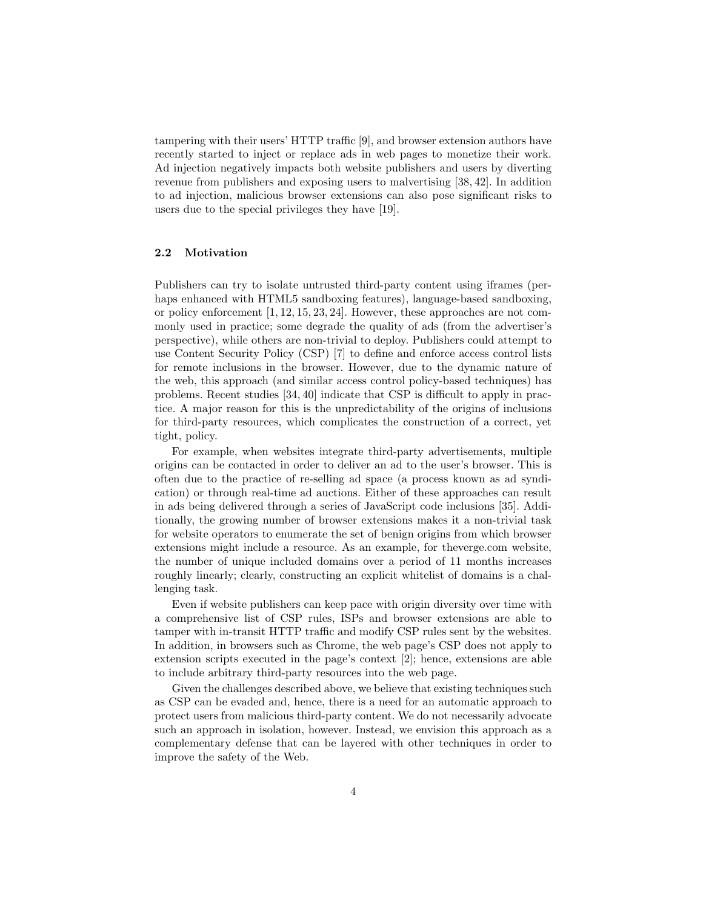tampering with their users' HTTP traffic [9], and browser extension authors have recently started to inject or replace ads in web pages to monetize their work. Ad injection negatively impacts both website publishers and users by diverting revenue from publishers and exposing users to malvertising [38, 42]. In addition to ad injection, malicious browser extensions can also pose significant risks to users due to the special privileges they have [19].

# **2.2 Motivation**

Publishers can try to isolate untrusted third-party content using iframes (perhaps enhanced with HTML5 sandboxing features), language-based sandboxing, or policy enforcement [1, 12, 15, 23, 24]. However, these approaches are not commonly used in practice; some degrade the quality of ads (from the advertiser's perspective), while others are non-trivial to deploy. Publishers could attempt to use Content Security Policy (CSP) [7] to define and enforce access control lists for remote inclusions in the browser. However, due to the dynamic nature of the web, this approach (and similar access control policy-based techniques) has problems. Recent studies [34, 40] indicate that CSP is difficult to apply in practice. A major reason for this is the unpredictability of the origins of inclusions for third-party resources, which complicates the construction of a correct, yet tight, policy.

For example, when websites integrate third-party advertisements, multiple origins can be contacted in order to deliver an ad to the user's browser. This is often due to the practice of re-selling ad space (a process known as ad syndication) or through real-time ad auctions. Either of these approaches can result in ads being delivered through a series of JavaScript code inclusions [35]. Additionally, the growing number of browser extensions makes it a non-trivial task for website operators to enumerate the set of benign origins from which browser extensions might include a resource. As an example, for theverge.com website, the number of unique included domains over a period of 11 months increases roughly linearly; clearly, constructing an explicit whitelist of domains is a challenging task.

Even if website publishers can keep pace with origin diversity over time with a comprehensive list of CSP rules, ISPs and browser extensions are able to tamper with in-transit HTTP traffic and modify CSP rules sent by the websites. In addition, in browsers such as Chrome, the web page's CSP does not apply to extension scripts executed in the page's context [2]; hence, extensions are able to include arbitrary third-party resources into the web page.

Given the challenges described above, we believe that existing techniques such as CSP can be evaded and, hence, there is a need for an automatic approach to protect users from malicious third-party content. We do not necessarily advocate such an approach in isolation, however. Instead, we envision this approach as a complementary defense that can be layered with other techniques in order to improve the safety of the Web.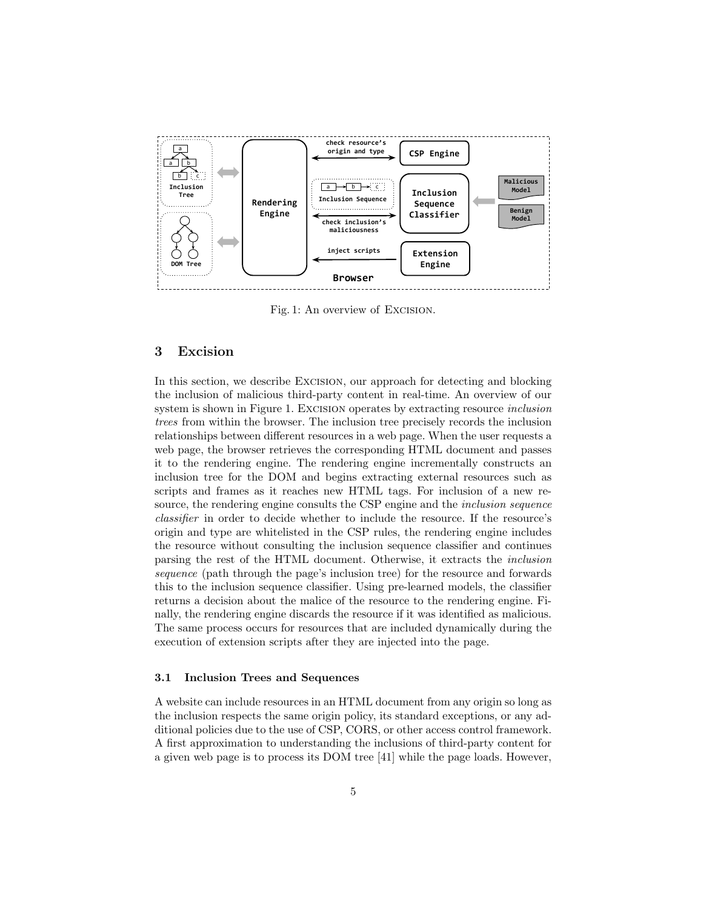

Fig. 1: An overview of Excision.

# **3 Excision**

In this section, we describe Excision, our approach for detecting and blocking the inclusion of malicious third-party content in real-time. An overview of our system is shown in Figure 1. Excision operates by extracting resource *inclusion trees* from within the browser. The inclusion tree precisely records the inclusion relationships between different resources in a web page. When the user requests a web page, the browser retrieves the corresponding HTML document and passes it to the rendering engine. The rendering engine incrementally constructs an inclusion tree for the DOM and begins extracting external resources such as scripts and frames as it reaches new HTML tags. For inclusion of a new resource, the rendering engine consults the CSP engine and the *inclusion sequence classifier* in order to decide whether to include the resource. If the resource's origin and type are whitelisted in the CSP rules, the rendering engine includes the resource without consulting the inclusion sequence classifier and continues parsing the rest of the HTML document. Otherwise, it extracts the *inclusion sequence* (path through the page's inclusion tree) for the resource and forwards this to the inclusion sequence classifier. Using pre-learned models, the classifier returns a decision about the malice of the resource to the rendering engine. Finally, the rendering engine discards the resource if it was identified as malicious. The same process occurs for resources that are included dynamically during the execution of extension scripts after they are injected into the page.

#### **3.1 Inclusion Trees and Sequences**

A website can include resources in an HTML document from any origin so long as the inclusion respects the same origin policy, its standard exceptions, or any additional policies due to the use of CSP, CORS, or other access control framework. A first approximation to understanding the inclusions of third-party content for a given web page is to process its DOM tree [41] while the page loads. However,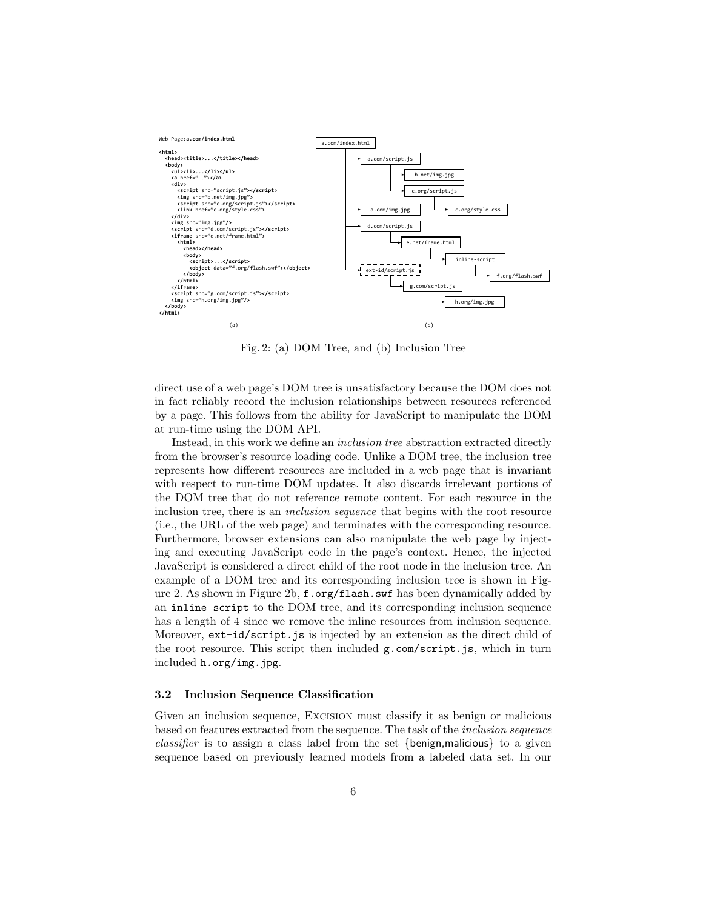

Fig. 2: (a) DOM Tree, and (b) Inclusion Tree

direct use of a web page's DOM tree is unsatisfactory because the DOM does not in fact reliably record the inclusion relationships between resources referenced by a page. This follows from the ability for JavaScript to manipulate the DOM at run-time using the DOM API.

Instead, in this work we define an *inclusion tree* abstraction extracted directly from the browser's resource loading code. Unlike a DOM tree, the inclusion tree represents how different resources are included in a web page that is invariant with respect to run-time DOM updates. It also discards irrelevant portions of the DOM tree that do not reference remote content. For each resource in the inclusion tree, there is an *inclusion sequence* that begins with the root resource (i.e., the URL of the web page) and terminates with the corresponding resource. Furthermore, browser extensions can also manipulate the web page by injecting and executing JavaScript code in the page's context. Hence, the injected JavaScript is considered a direct child of the root node in the inclusion tree. An example of a DOM tree and its corresponding inclusion tree is shown in Figure 2. As shown in Figure 2b,  $f.org/flash.swf$  has been dynamically added by an inline script to the DOM tree, and its corresponding inclusion sequence has a length of 4 since we remove the inline resources from inclusion sequence. Moreover, ext-id/script.js is injected by an extension as the direct child of the root resource. This script then included  $g$ .com/script.js, which in turn included h.org/img.jpg.

### **3.2 Inclusion Sequence Classification**

Given an inclusion sequence, Excision must classify it as benign or malicious based on features extracted from the sequence. The task of the *inclusion sequence classifier* is to assign a class label from the set *{*benign,malicious*}* to a given sequence based on previously learned models from a labeled data set. In our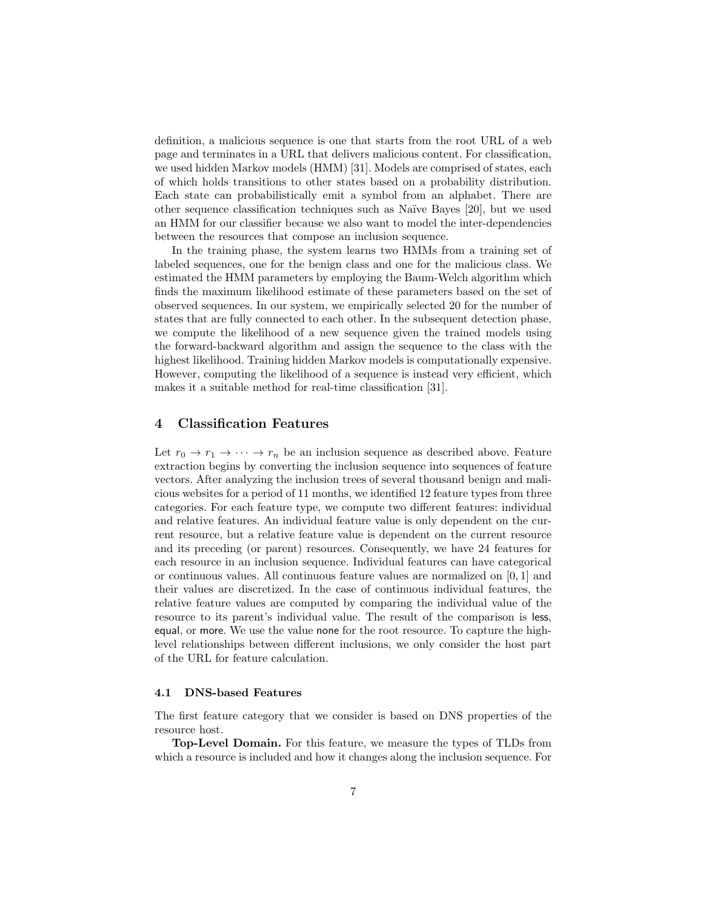definition, a malicious sequence is one that starts from the root URL of a web page and terminates in a URL that delivers malicious content. For classification, we used hidden Markov models (HMM) [31]. Models are comprised of states, each of which holds transitions to other states based on a probability distribution. Each state can probabilistically emit a symbol from an alphabet. There are other sequence classification techniques such as Na¨ıve Bayes [20], but we used an HMM for our classifier because we also want to model the inter-dependencies between the resources that compose an inclusion sequence.

In the training phase, the system learns two HMMs from a training set of labeled sequences, one for the benign class and one for the malicious class. We estimated the HMM parameters by employing the Baum-Welch algorithm which finds the maximum likelihood estimate of these parameters based on the set of observed sequences. In our system, we empirically selected 20 for the number of states that are fully connected to each other. In the subsequent detection phase, we compute the likelihood of a new sequence given the trained models using the forward-backward algorithm and assign the sequence to the class with the highest likelihood. Training hidden Markov models is computationally expensive. However, computing the likelihood of a sequence is instead very efficient, which makes it a suitable method for real-time classification [31].

# **4 Classification Features**

Let  $r_0 \to r_1 \to \cdots \to r_n$  be an inclusion sequence as described above. Feature extraction begins by converting the inclusion sequence into sequences of feature vectors. After analyzing the inclusion trees of several thousand benign and malicious websites for a period of 11 months, we identified 12 feature types from three categories. For each feature type, we compute two different features: individual and relative features. An individual feature value is only dependent on the current resource, but a relative feature value is dependent on the current resource and its preceding (or parent) resources. Consequently, we have 24 features for each resource in an inclusion sequence. Individual features can have categorical or continuous values. All continuous feature values are normalized on [0*,* 1] and their values are discretized. In the case of continuous individual features, the relative feature values are computed by comparing the individual value of the resource to its parent's individual value. The result of the comparison is less, equal, or more. We use the value none for the root resource. To capture the highlevel relationships between different inclusions, we only consider the host part of the URL for feature calculation.

### **4.1 DNS-based Features**

The first feature category that we consider is based on DNS properties of the resource host.

**Top-Level Domain.** For this feature, we measure the types of TLDs from which a resource is included and how it changes along the inclusion sequence. For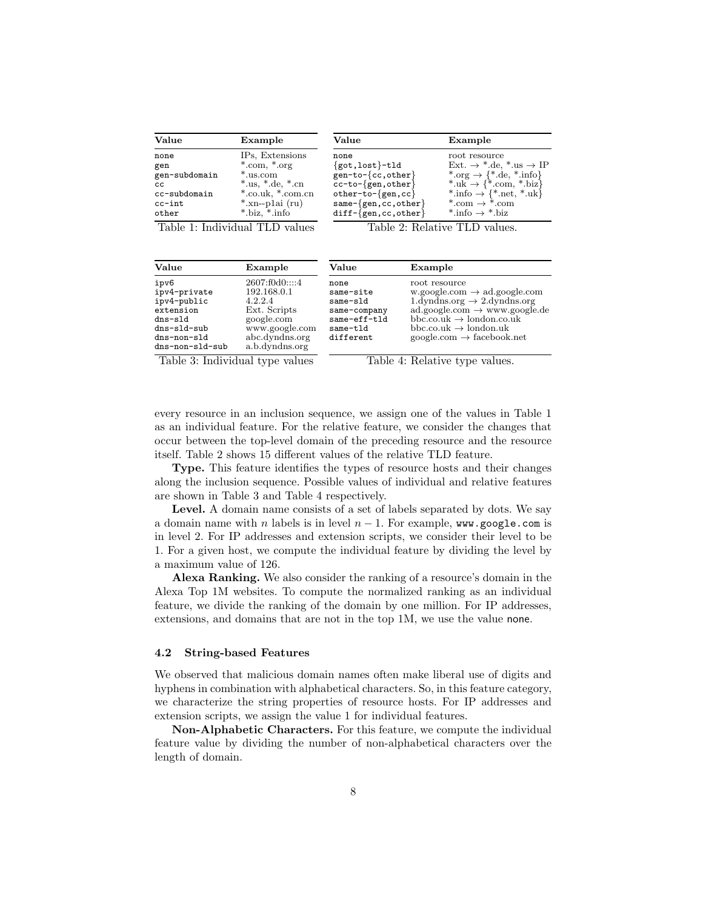| Value         | Example                 | Value                       | Example                                        |
|---------------|-------------------------|-----------------------------|------------------------------------------------|
| none          | IPs, Extensions         | none                        | root resource                                  |
| gen           | $*$ .com, $*$ .org      | $\{got, lost\}$ -tld        | Ext. $\rightarrow$ *.de, *.us $\rightarrow$ IP |
| gen-subdomain | *.us.com                | $gen-to-(cc,other)$         | *.org $\rightarrow$ {*.de, *.info}             |
| CC.           | *.us, $*de$ , $*cn$     | $cc-to-\{gen, other\}$      | *.uk $\rightarrow$ {*.com, *.biz}              |
| cc-subdomain  | $*$ .co.uk, $*$ .com.cn | other-to- $\{gen, cc\}$     | *.info $\rightarrow$ {*.net, *.uk}             |
| $cc$ -int     | $*$ .xn--plai $(ru)$    | $same - \{gen, cc, other\}$ | *.com $\rightarrow$ *.com                      |
| other         | *.biz. $*$ .info        | $diff-\{gen, cc,other\}$    | *.info $\rightarrow$ *.biz                     |

Table 1: Individual TLD values

Table 2: Relative TLD values.

| Value                                                                                                              | Example                                                                                                                    | Value                                                                                  | Example                                                                                                                                                                                                                                                                 |
|--------------------------------------------------------------------------------------------------------------------|----------------------------------------------------------------------------------------------------------------------------|----------------------------------------------------------------------------------------|-------------------------------------------------------------------------------------------------------------------------------------------------------------------------------------------------------------------------------------------------------------------------|
| ipv6<br>ipv4-private<br>ipv4-public<br>extension<br>$dns-s1d$<br>$dns-s1d-sub$<br>dns-non-sld<br>$dns-non-s1d-sub$ | 2607: f0d0:4<br>192.168.0.1<br>4.2.2.4<br>Ext. Scripts<br>google.com<br>www.google.com<br>abc.dyndns.org<br>a.b.dyndns.org | none<br>same-site<br>same-sld<br>same-company<br>same-eff-tld<br>same-tld<br>different | root resource<br>w.google.com $\rightarrow$ ad.google.com<br>1.dyndns.org $\rightarrow$ 2.dyndns.org<br>$ad.google.com \rightarrow www.google.de$<br>$bbc.co.uk \rightarrow london.co.uk$<br>bbc.co.uk $\rightarrow$ london.uk<br>google.com $\rightarrow$ facebook.net |

Table 3: Individual type values

Table 4: Relative type values.

every resource in an inclusion sequence, we assign one of the values in Table 1 as an individual feature. For the relative feature, we consider the changes that occur between the top-level domain of the preceding resource and the resource itself. Table 2 shows 15 different values of the relative TLD feature.

**Type.** This feature identifies the types of resource hosts and their changes along the inclusion sequence. Possible values of individual and relative features are shown in Table 3 and Table 4 respectively.

Level. A domain name consists of a set of labels separated by dots. We say a domain name with *n* labels is in level  $n-1$ . For example, www.google.com is in level 2. For IP addresses and extension scripts, we consider their level to be 1. For a given host, we compute the individual feature by dividing the level by a maximum value of 126.

**Alexa Ranking.** We also consider the ranking of a resource's domain in the Alexa Top 1M websites. To compute the normalized ranking as an individual feature, we divide the ranking of the domain by one million. For IP addresses, extensions, and domains that are not in the top 1M, we use the value none.

#### **4.2 String-based Features**

We observed that malicious domain names often make liberal use of digits and hyphens in combination with alphabetical characters. So, in this feature category, we characterize the string properties of resource hosts. For IP addresses and extension scripts, we assign the value 1 for individual features.

**Non-Alphabetic Characters.** For this feature, we compute the individual feature value by dividing the number of non-alphabetical characters over the length of domain.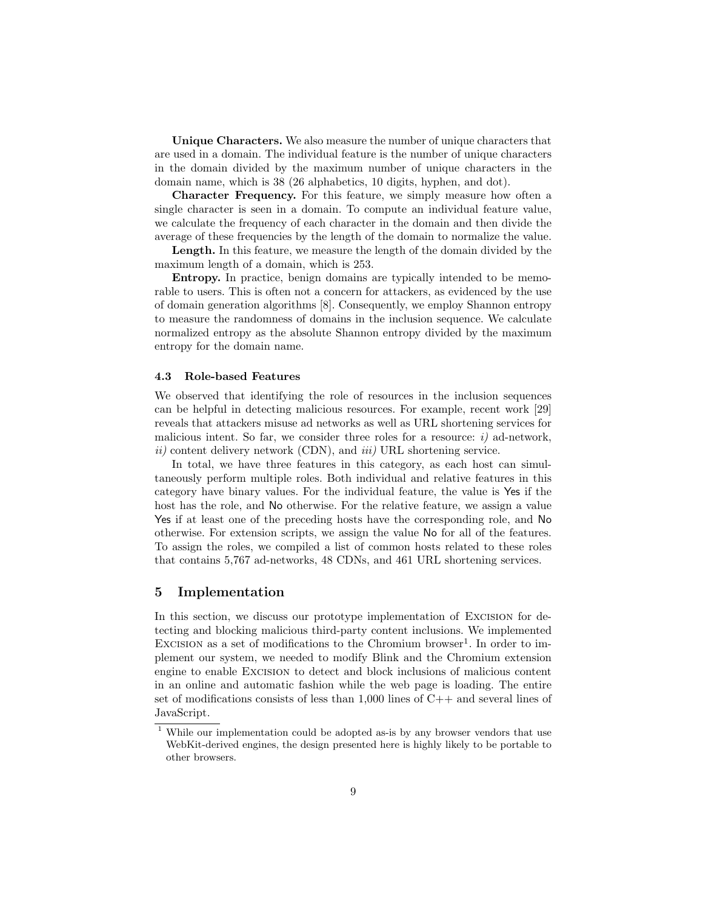**Unique Characters.** We also measure the number of unique characters that are used in a domain. The individual feature is the number of unique characters in the domain divided by the maximum number of unique characters in the domain name, which is 38 (26 alphabetics, 10 digits, hyphen, and dot).

**Character Frequency.** For this feature, we simply measure how often a single character is seen in a domain. To compute an individual feature value, we calculate the frequency of each character in the domain and then divide the average of these frequencies by the length of the domain to normalize the value.

**Length.** In this feature, we measure the length of the domain divided by the maximum length of a domain, which is 253.

**Entropy.** In practice, benign domains are typically intended to be memorable to users. This is often not a concern for attackers, as evidenced by the use of domain generation algorithms [8]. Consequently, we employ Shannon entropy to measure the randomness of domains in the inclusion sequence. We calculate normalized entropy as the absolute Shannon entropy divided by the maximum entropy for the domain name.

### **4.3 Role-based Features**

We observed that identifying the role of resources in the inclusion sequences can be helpful in detecting malicious resources. For example, recent work [29] reveals that attackers misuse ad networks as well as URL shortening services for malicious intent. So far, we consider three roles for a resource: *i)* ad-network, *ii)* content delivery network (CDN), and *iii)* URL shortening service.

In total, we have three features in this category, as each host can simultaneously perform multiple roles. Both individual and relative features in this category have binary values. For the individual feature, the value is Yes if the host has the role, and No otherwise. For the relative feature, we assign a value Yes if at least one of the preceding hosts have the corresponding role, and No otherwise. For extension scripts, we assign the value No for all of the features. To assign the roles, we compiled a list of common hosts related to these roles that contains 5,767 ad-networks, 48 CDNs, and 461 URL shortening services.

# **5 Implementation**

In this section, we discuss our prototype implementation of Excision for detecting and blocking malicious third-party content inclusions. We implemented EXCISION as a set of modifications to the Chromium browser<sup>1</sup>. In order to implement our system, we needed to modify Blink and the Chromium extension engine to enable Excision to detect and block inclusions of malicious content in an online and automatic fashion while the web page is loading. The entire set of modifications consists of less than 1,000 lines of C++ and several lines of JavaScript.

 $1$  While our implementation could be adopted as-is by any browser vendors that use WebKit-derived engines, the design presented here is highly likely to be portable to other browsers.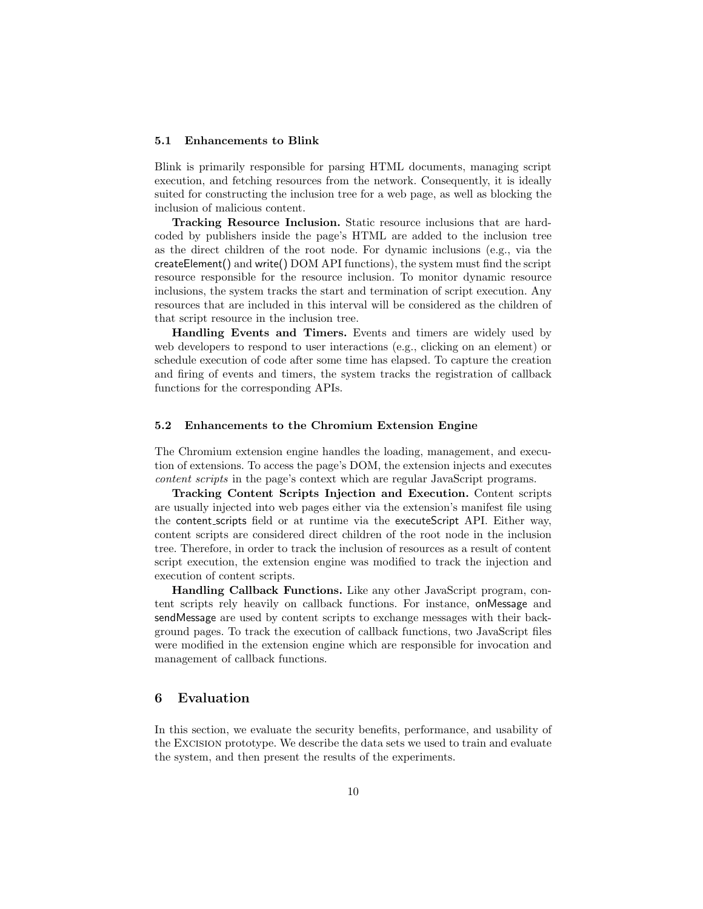### **5.1 Enhancements to Blink**

Blink is primarily responsible for parsing HTML documents, managing script execution, and fetching resources from the network. Consequently, it is ideally suited for constructing the inclusion tree for a web page, as well as blocking the inclusion of malicious content.

**Tracking Resource Inclusion.** Static resource inclusions that are hardcoded by publishers inside the page's HTML are added to the inclusion tree as the direct children of the root node. For dynamic inclusions (e.g., via the createElement() and write() DOM API functions), the system must find the script resource responsible for the resource inclusion. To monitor dynamic resource inclusions, the system tracks the start and termination of script execution. Any resources that are included in this interval will be considered as the children of that script resource in the inclusion tree.

**Handling Events and Timers.** Events and timers are widely used by web developers to respond to user interactions (e.g., clicking on an element) or schedule execution of code after some time has elapsed. To capture the creation and firing of events and timers, the system tracks the registration of callback functions for the corresponding APIs.

#### **5.2 Enhancements to the Chromium Extension Engine**

The Chromium extension engine handles the loading, management, and execution of extensions. To access the page's DOM, the extension injects and executes *content scripts* in the page's context which are regular JavaScript programs.

**Tracking Content Scripts Injection and Execution.** Content scripts are usually injected into web pages either via the extension's manifest file using the content scripts field or at runtime via the executeScript API. Either way, content scripts are considered direct children of the root node in the inclusion tree. Therefore, in order to track the inclusion of resources as a result of content script execution, the extension engine was modified to track the injection and execution of content scripts.

**Handling Callback Functions.** Like any other JavaScript program, content scripts rely heavily on callback functions. For instance, onMessage and sendMessage are used by content scripts to exchange messages with their background pages. To track the execution of callback functions, two JavaScript files were modified in the extension engine which are responsible for invocation and management of callback functions.

# **6 Evaluation**

In this section, we evaluate the security benefits, performance, and usability of the Excision prototype. We describe the data sets we used to train and evaluate the system, and then present the results of the experiments.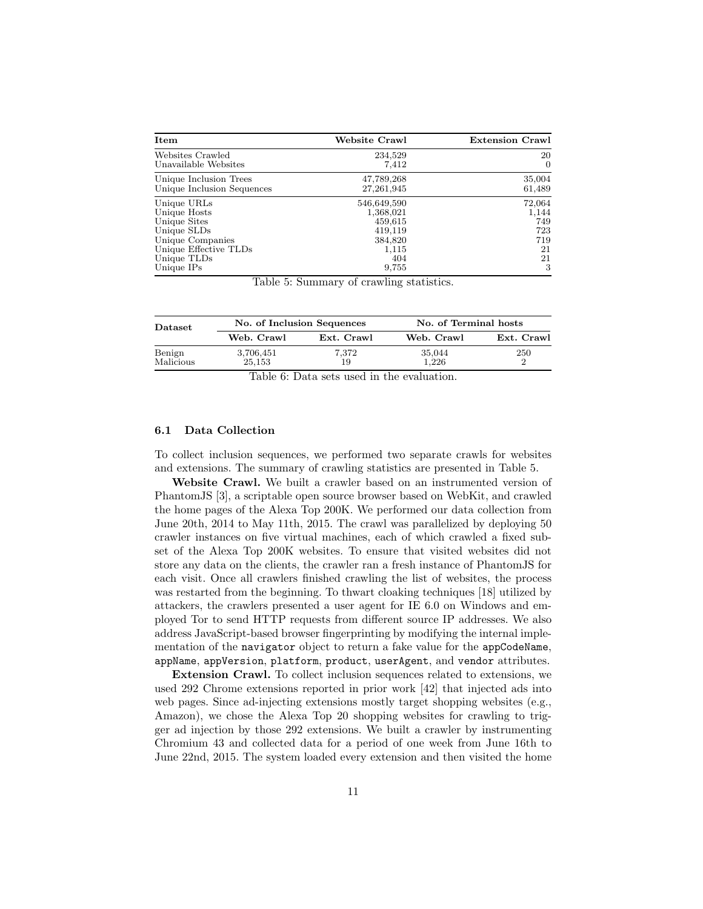| Item                       | Website Crawl | <b>Extension Crawl</b> |
|----------------------------|---------------|------------------------|
| Websites Crawled           | 234,529       | 20                     |
| Unavailable Websites       | 7,412         | $\theta$               |
| Unique Inclusion Trees     | 47,789,268    | 35,004                 |
| Unique Inclusion Sequences | 27, 261, 945  | 61,489                 |
| Unique URLs                | 546,649,590   | 72,064                 |
| Unique Hosts               | 1,368,021     | 1,144                  |
| Unique Sites               | 459,615       | 749                    |
| Unique SLDs                | 419,119       | 723                    |
| Unique Companies           | 384,820       | 719                    |
| Unique Effective TLDs      | 1,115         | 21                     |
| Unique TLDs                | 404           | 21                     |
| Unique IPs                 | 9,755         | -3                     |

Table 5: Summary of crawling statistics.

| Dataset   | No. of Inclusion Sequences |            | No. of Terminal hosts |            |
|-----------|----------------------------|------------|-----------------------|------------|
|           | Web. Crawl                 | Ext. Crawl | Web. Crawl            | Ext. Crawl |
| Benign    | 3,706,451                  | 7,372      | 35,044                | 250        |
| Malicious | 25.153                     | 19         | 1.226                 |            |
|           |                            |            |                       |            |

Table 6: Data sets used in the evaluation.

# **6.1 Data Collection**

To collect inclusion sequences, we performed two separate crawls for websites and extensions. The summary of crawling statistics are presented in Table 5.

**Website Crawl.** We built a crawler based on an instrumented version of PhantomJS [3], a scriptable open source browser based on WebKit, and crawled the home pages of the Alexa Top 200K. We performed our data collection from June 20th, 2014 to May 11th, 2015. The crawl was parallelized by deploying 50 crawler instances on five virtual machines, each of which crawled a fixed subset of the Alexa Top 200K websites. To ensure that visited websites did not store any data on the clients, the crawler ran a fresh instance of PhantomJS for each visit. Once all crawlers finished crawling the list of websites, the process was restarted from the beginning. To thwart cloaking techniques [18] utilized by attackers, the crawlers presented a user agent for IE 6.0 on Windows and employed Tor to send HTTP requests from different source IP addresses. We also address JavaScript-based browser fingerprinting by modifying the internal implementation of the navigator object to return a fake value for the appCodeName, appName, appVersion, platform, product, userAgent, and vendor attributes.

**Extension Crawl.** To collect inclusion sequences related to extensions, we used 292 Chrome extensions reported in prior work [42] that injected ads into web pages. Since ad-injecting extensions mostly target shopping websites (e.g., Amazon), we chose the Alexa Top 20 shopping websites for crawling to trigger ad injection by those 292 extensions. We built a crawler by instrumenting Chromium 43 and collected data for a period of one week from June 16th to June 22nd, 2015. The system loaded every extension and then visited the home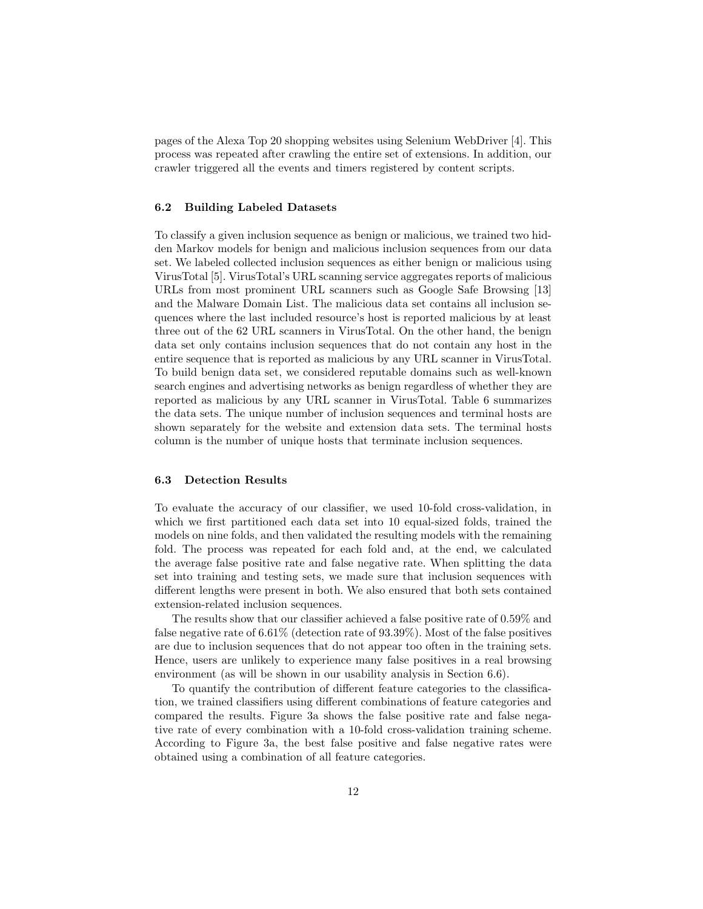pages of the Alexa Top 20 shopping websites using Selenium WebDriver [4]. This process was repeated after crawling the entire set of extensions. In addition, our crawler triggered all the events and timers registered by content scripts.

### **6.2 Building Labeled Datasets**

To classify a given inclusion sequence as benign or malicious, we trained two hidden Markov models for benign and malicious inclusion sequences from our data set. We labeled collected inclusion sequences as either benign or malicious using VirusTotal [5]. VirusTotal's URL scanning service aggregates reports of malicious URLs from most prominent URL scanners such as Google Safe Browsing [13] and the Malware Domain List. The malicious data set contains all inclusion sequences where the last included resource's host is reported malicious by at least three out of the 62 URL scanners in VirusTotal. On the other hand, the benign data set only contains inclusion sequences that do not contain any host in the entire sequence that is reported as malicious by any URL scanner in VirusTotal. To build benign data set, we considered reputable domains such as well-known search engines and advertising networks as benign regardless of whether they are reported as malicious by any URL scanner in VirusTotal. Table 6 summarizes the data sets. The unique number of inclusion sequences and terminal hosts are shown separately for the website and extension data sets. The terminal hosts column is the number of unique hosts that terminate inclusion sequences.

### **6.3 Detection Results**

To evaluate the accuracy of our classifier, we used 10-fold cross-validation, in which we first partitioned each data set into 10 equal-sized folds, trained the models on nine folds, and then validated the resulting models with the remaining fold. The process was repeated for each fold and, at the end, we calculated the average false positive rate and false negative rate. When splitting the data set into training and testing sets, we made sure that inclusion sequences with different lengths were present in both. We also ensured that both sets contained extension-related inclusion sequences.

The results show that our classifier achieved a false positive rate of 0.59% and false negative rate of 6.61% (detection rate of 93.39%). Most of the false positives are due to inclusion sequences that do not appear too often in the training sets. Hence, users are unlikely to experience many false positives in a real browsing environment (as will be shown in our usability analysis in Section 6.6).

To quantify the contribution of different feature categories to the classification, we trained classifiers using different combinations of feature categories and compared the results. Figure 3a shows the false positive rate and false negative rate of every combination with a 10-fold cross-validation training scheme. According to Figure 3a, the best false positive and false negative rates were obtained using a combination of all feature categories.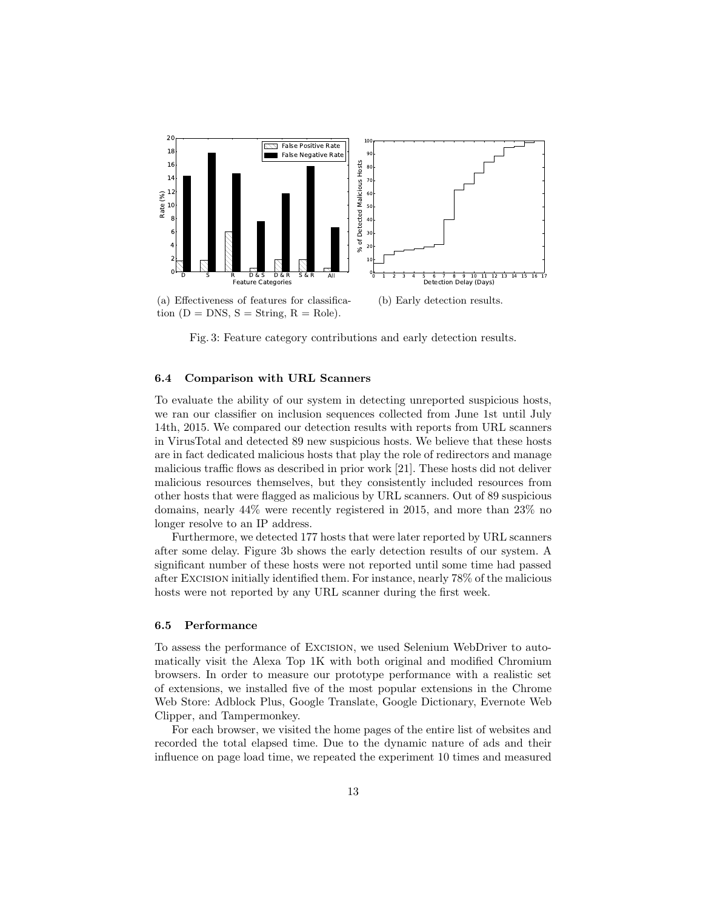

(a) Effectiveness of features for classification ( $D = DNS$ ,  $S = String$ ,  $R = Role$ ).

(b) Early detection results.

Fig. 3: Feature category contributions and early detection results.

### **6.4 Comparison with URL Scanners**

To evaluate the ability of our system in detecting unreported suspicious hosts, we ran our classifier on inclusion sequences collected from June 1st until July 14th, 2015. We compared our detection results with reports from URL scanners in VirusTotal and detected 89 new suspicious hosts. We believe that these hosts are in fact dedicated malicious hosts that play the role of redirectors and manage malicious traffic flows as described in prior work [21]. These hosts did not deliver malicious resources themselves, but they consistently included resources from other hosts that were flagged as malicious by URL scanners. Out of 89 suspicious domains, nearly 44% were recently registered in 2015, and more than 23% no longer resolve to an IP address.

Furthermore, we detected 177 hosts that were later reported by URL scanners after some delay. Figure 3b shows the early detection results of our system. A significant number of these hosts were not reported until some time had passed after Excision initially identified them. For instance, nearly 78% of the malicious hosts were not reported by any URL scanner during the first week.

### **6.5 Performance**

To assess the performance of Excision, we used Selenium WebDriver to automatically visit the Alexa Top 1K with both original and modified Chromium browsers. In order to measure our prototype performance with a realistic set of extensions, we installed five of the most popular extensions in the Chrome Web Store: Adblock Plus, Google Translate, Google Dictionary, Evernote Web Clipper, and Tampermonkey.

For each browser, we visited the home pages of the entire list of websites and recorded the total elapsed time. Due to the dynamic nature of ads and their influence on page load time, we repeated the experiment 10 times and measured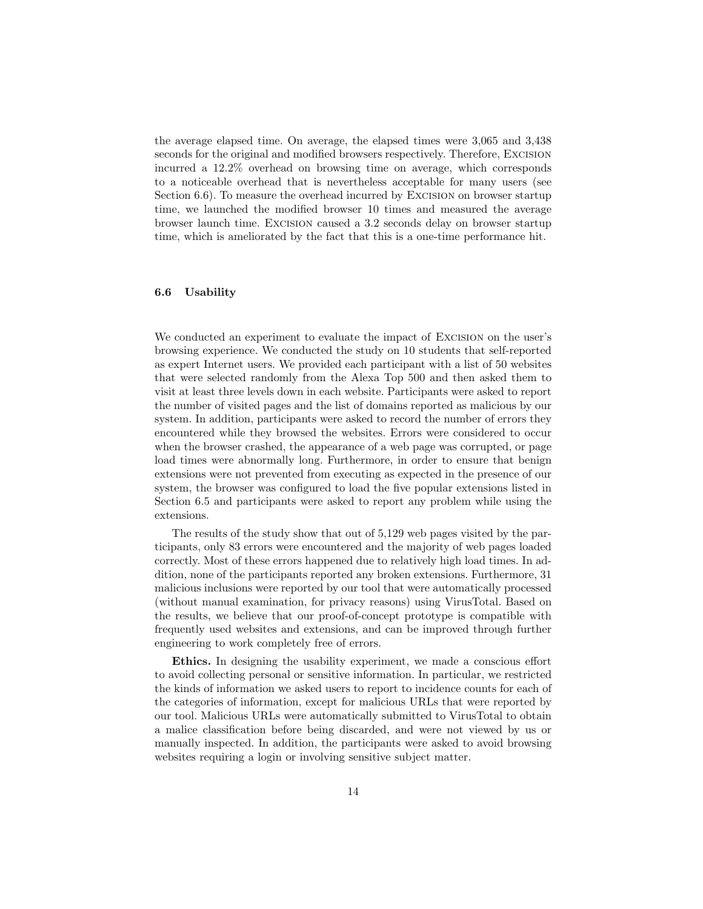the average elapsed time. On average, the elapsed times were 3,065 and 3,438 seconds for the original and modified browsers respectively. Therefore, Excision incurred a 12.2% overhead on browsing time on average, which corresponds to a noticeable overhead that is nevertheless acceptable for many users (see Section 6.6). To measure the overhead incurred by Excision on browser startup time, we launched the modified browser 10 times and measured the average browser launch time. Excision caused a 3.2 seconds delay on browser startup time, which is ameliorated by the fact that this is a one-time performance hit.

### **6.6 Usability**

We conducted an experiment to evaluate the impact of Excision on the user's browsing experience. We conducted the study on 10 students that self-reported as expert Internet users. We provided each participant with a list of 50 websites that were selected randomly from the Alexa Top 500 and then asked them to visit at least three levels down in each website. Participants were asked to report the number of visited pages and the list of domains reported as malicious by our system. In addition, participants were asked to record the number of errors they encountered while they browsed the websites. Errors were considered to occur when the browser crashed, the appearance of a web page was corrupted, or page load times were abnormally long. Furthermore, in order to ensure that benign extensions were not prevented from executing as expected in the presence of our system, the browser was configured to load the five popular extensions listed in Section 6.5 and participants were asked to report any problem while using the extensions.

The results of the study show that out of 5,129 web pages visited by the participants, only 83 errors were encountered and the majority of web pages loaded correctly. Most of these errors happened due to relatively high load times. In addition, none of the participants reported any broken extensions. Furthermore, 31 malicious inclusions were reported by our tool that were automatically processed (without manual examination, for privacy reasons) using VirusTotal. Based on the results, we believe that our proof-of-concept prototype is compatible with frequently used websites and extensions, and can be improved through further engineering to work completely free of errors.

**Ethics.** In designing the usability experiment, we made a conscious effort to avoid collecting personal or sensitive information. In particular, we restricted the kinds of information we asked users to report to incidence counts for each of the categories of information, except for malicious URLs that were reported by our tool. Malicious URLs were automatically submitted to VirusTotal to obtain a malice classification before being discarded, and were not viewed by us or manually inspected. In addition, the participants were asked to avoid browsing websites requiring a login or involving sensitive subject matter.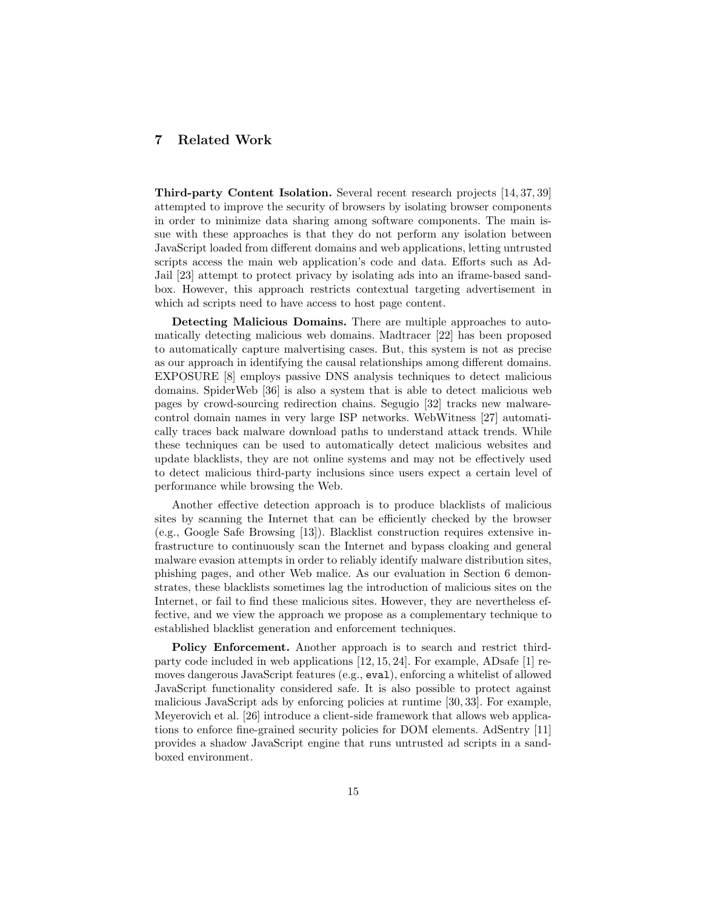# **7 Related Work**

**Third-party Content Isolation.** Several recent research projects [14, 37, 39] attempted to improve the security of browsers by isolating browser components in order to minimize data sharing among software components. The main issue with these approaches is that they do not perform any isolation between JavaScript loaded from different domains and web applications, letting untrusted scripts access the main web application's code and data. Efforts such as Ad-Jail [23] attempt to protect privacy by isolating ads into an iframe-based sandbox. However, this approach restricts contextual targeting advertisement in which ad scripts need to have access to host page content.

**Detecting Malicious Domains.** There are multiple approaches to automatically detecting malicious web domains. Madtracer [22] has been proposed to automatically capture malvertising cases. But, this system is not as precise as our approach in identifying the causal relationships among different domains. EXPOSURE [8] employs passive DNS analysis techniques to detect malicious domains. SpiderWeb [36] is also a system that is able to detect malicious web pages by crowd-sourcing redirection chains. Segugio [32] tracks new malwarecontrol domain names in very large ISP networks. WebWitness [27] automatically traces back malware download paths to understand attack trends. While these techniques can be used to automatically detect malicious websites and update blacklists, they are not online systems and may not be effectively used to detect malicious third-party inclusions since users expect a certain level of performance while browsing the Web.

Another effective detection approach is to produce blacklists of malicious sites by scanning the Internet that can be efficiently checked by the browser (e.g., Google Safe Browsing [13]). Blacklist construction requires extensive infrastructure to continuously scan the Internet and bypass cloaking and general malware evasion attempts in order to reliably identify malware distribution sites, phishing pages, and other Web malice. As our evaluation in Section 6 demonstrates, these blacklists sometimes lag the introduction of malicious sites on the Internet, or fail to find these malicious sites. However, they are nevertheless effective, and we view the approach we propose as a complementary technique to established blacklist generation and enforcement techniques.

**Policy Enforcement.** Another approach is to search and restrict thirdparty code included in web applications [12, 15, 24]. For example, ADsafe [1] removes dangerous JavaScript features (e.g., eval), enforcing a whitelist of allowed JavaScript functionality considered safe. It is also possible to protect against malicious JavaScript ads by enforcing policies at runtime [30, 33]. For example, Meyerovich et al. [26] introduce a client-side framework that allows web applications to enforce fine-grained security policies for DOM elements. AdSentry [11] provides a shadow JavaScript engine that runs untrusted ad scripts in a sandboxed environment.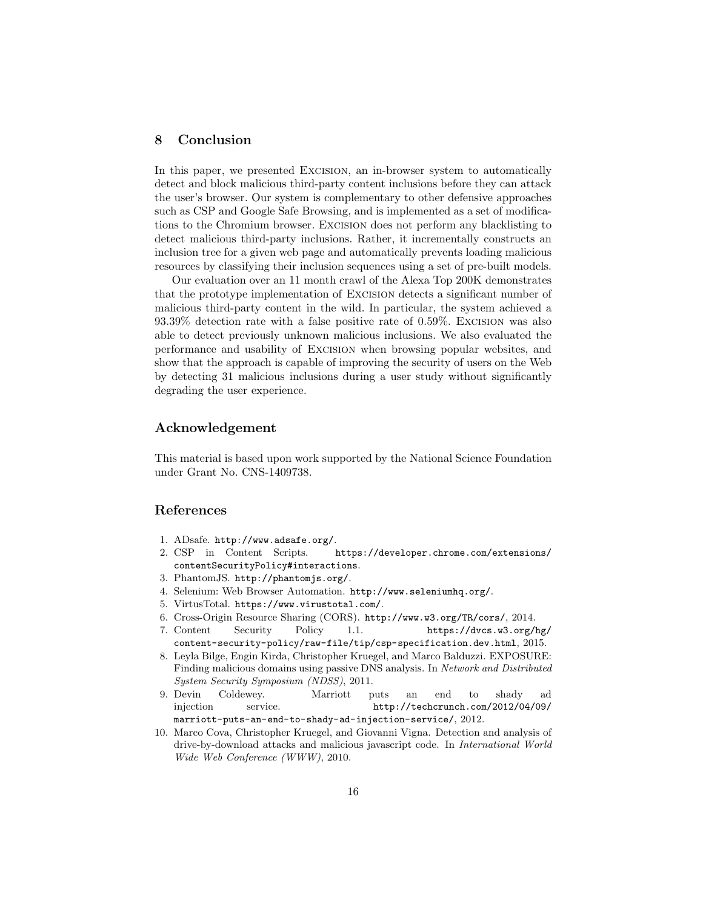# **8 Conclusion**

In this paper, we presented Excision, an in-browser system to automatically detect and block malicious third-party content inclusions before they can attack the user's browser. Our system is complementary to other defensive approaches such as CSP and Google Safe Browsing, and is implemented as a set of modifications to the Chromium browser. Excision does not perform any blacklisting to detect malicious third-party inclusions. Rather, it incrementally constructs an inclusion tree for a given web page and automatically prevents loading malicious resources by classifying their inclusion sequences using a set of pre-built models.

Our evaluation over an 11 month crawl of the Alexa Top 200K demonstrates that the prototype implementation of Excision detects a significant number of malicious third-party content in the wild. In particular, the system achieved a 93.39% detection rate with a false positive rate of 0.59%. Excision was also able to detect previously unknown malicious inclusions. We also evaluated the performance and usability of Excision when browsing popular websites, and show that the approach is capable of improving the security of users on the Web by detecting 31 malicious inclusions during a user study without significantly degrading the user experience.

# **Acknowledgement**

This material is based upon work supported by the National Science Foundation under Grant No. CNS-1409738.

# **References**

- 1. ADsafe. http://www.adsafe.org/.
- 2. CSP in Content Scripts. https://developer.chrome.com/extensions/ contentSecurityPolicy#interactions.
- 3. PhantomJS. http://phantomjs.org/.
- 4. Selenium: Web Browser Automation. http://www.seleniumhq.org/.
- 5. VirtusTotal. https://www.virustotal.com/.
- 6. Cross-Origin Resource Sharing (CORS). http://www.w3.org/TR/cors/, 2014.
- 7. Content Security Policy 1.1. https://dvcs.w3.org/hg/ content-security-policy/raw-file/tip/csp-specification.dev.html, 2015.
- 8. Leyla Bilge, Engin Kirda, Christopher Kruegel, and Marco Balduzzi. EXPOSURE: Finding malicious domains using passive DNS analysis. In *Network and Distributed System Security Symposium (NDSS)*, 2011.
- 9. Devin Coldewey. Marriott puts an end to shady ad injection service. http://techcrunch.com/2012/04/09/ marriott-puts-an-end-to-shady-ad-injection-service/, 2012.
- 10. Marco Cova, Christopher Kruegel, and Giovanni Vigna. Detection and analysis of drive-by-download attacks and malicious javascript code. In *International World Wide Web Conference (WWW)*, 2010.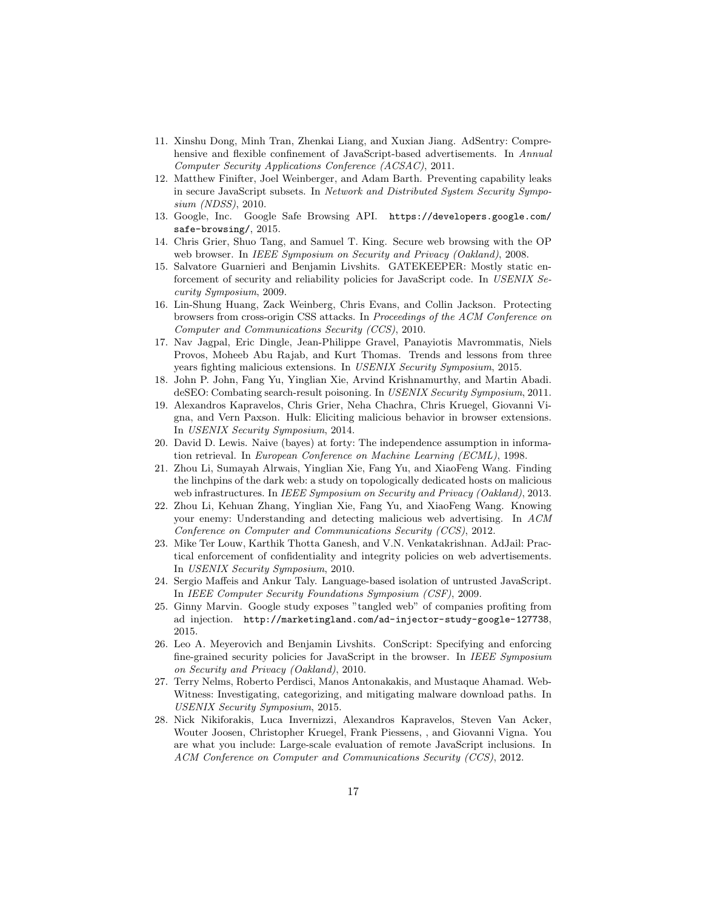- 11. Xinshu Dong, Minh Tran, Zhenkai Liang, and Xuxian Jiang. AdSentry: Comprehensive and flexible confinement of JavaScript-based advertisements. In *Annual Computer Security Applications Conference (ACSAC)*, 2011.
- 12. Matthew Finifter, Joel Weinberger, and Adam Barth. Preventing capability leaks in secure JavaScript subsets. In *Network and Distributed System Security Symposium (NDSS)*, 2010.
- 13. Google, Inc. Google Safe Browsing API. https://developers.google.com/ safe-browsing/, 2015.
- 14. Chris Grier, Shuo Tang, and Samuel T. King. Secure web browsing with the OP web browser. In *IEEE Symposium on Security and Privacy (Oakland)*, 2008.
- 15. Salvatore Guarnieri and Benjamin Livshits. GATEKEEPER: Mostly static enforcement of security and reliability policies for JavaScript code. In *USENIX Security Symposium*, 2009.
- 16. Lin-Shung Huang, Zack Weinberg, Chris Evans, and Collin Jackson. Protecting browsers from cross-origin CSS attacks. In *Proceedings of the ACM Conference on Computer and Communications Security (CCS)*, 2010.
- 17. Nav Jagpal, Eric Dingle, Jean-Philippe Gravel, Panayiotis Mavrommatis, Niels Provos, Moheeb Abu Rajab, and Kurt Thomas. Trends and lessons from three years fighting malicious extensions. In *USENIX Security Symposium*, 2015.
- 18. John P. John, Fang Yu, Yinglian Xie, Arvind Krishnamurthy, and Martin Abadi. deSEO: Combating search-result poisoning. In *USENIX Security Symposium*, 2011.
- 19. Alexandros Kapravelos, Chris Grier, Neha Chachra, Chris Kruegel, Giovanni Vigna, and Vern Paxson. Hulk: Eliciting malicious behavior in browser extensions. In *USENIX Security Symposium*, 2014.
- 20. David D. Lewis. Naive (bayes) at forty: The independence assumption in information retrieval. In *European Conference on Machine Learning (ECML)*, 1998.
- 21. Zhou Li, Sumayah Alrwais, Yinglian Xie, Fang Yu, and XiaoFeng Wang. Finding the linchpins of the dark web: a study on topologically dedicated hosts on malicious web infrastructures. In *IEEE Symposium on Security and Privacy (Oakland)*, 2013.
- 22. Zhou Li, Kehuan Zhang, Yinglian Xie, Fang Yu, and XiaoFeng Wang. Knowing your enemy: Understanding and detecting malicious web advertising. In *ACM Conference on Computer and Communications Security (CCS)*, 2012.
- 23. Mike Ter Louw, Karthik Thotta Ganesh, and V.N. Venkatakrishnan. AdJail: Practical enforcement of confidentiality and integrity policies on web advertisements. In *USENIX Security Symposium*, 2010.
- 24. Sergio Maffeis and Ankur Taly. Language-based isolation of untrusted JavaScript. In *IEEE Computer Security Foundations Symposium (CSF)*, 2009.
- 25. Ginny Marvin. Google study exposes "tangled web" of companies profiting from ad injection. http://marketingland.com/ad-injector-study-google-127738, 2015.
- 26. Leo A. Meyerovich and Benjamin Livshits. ConScript: Specifying and enforcing fine-grained security policies for JavaScript in the browser. In *IEEE Symposium on Security and Privacy (Oakland)*, 2010.
- 27. Terry Nelms, Roberto Perdisci, Manos Antonakakis, and Mustaque Ahamad. Web-Witness: Investigating, categorizing, and mitigating malware download paths. In *USENIX Security Symposium*, 2015.
- 28. Nick Nikiforakis, Luca Invernizzi, Alexandros Kapravelos, Steven Van Acker, Wouter Joosen, Christopher Kruegel, Frank Piessens, , and Giovanni Vigna. You are what you include: Large-scale evaluation of remote JavaScript inclusions. In *ACM Conference on Computer and Communications Security (CCS)*, 2012.